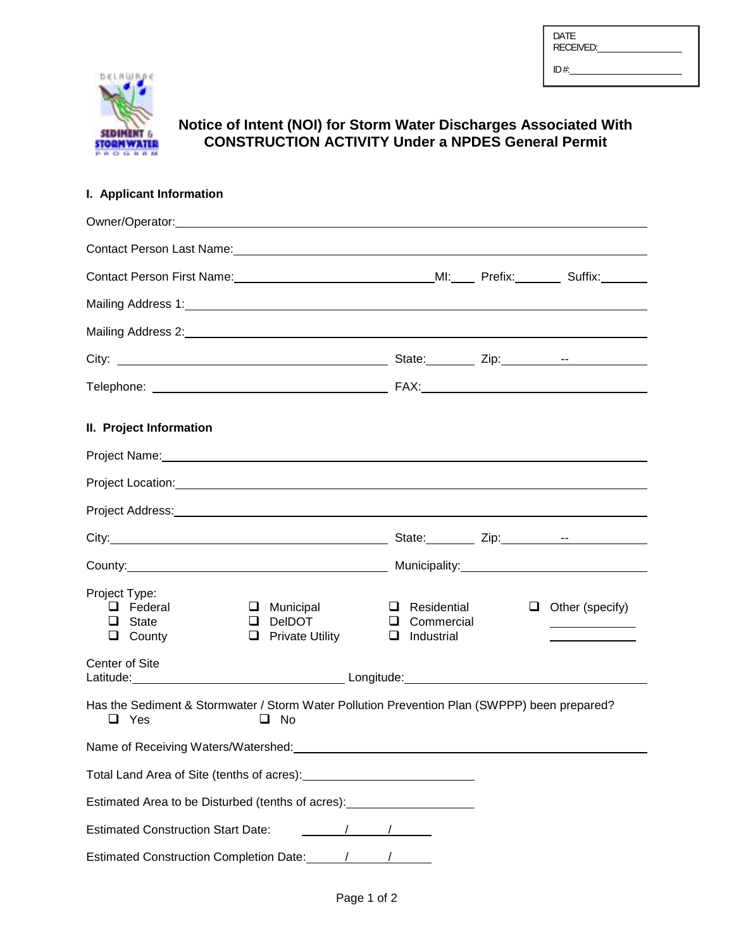| <b>DATE</b><br><b>RECEIVED:</b> |  |
|---------------------------------|--|
| ID#                             |  |



# **Notice of Intent (NOI) for Storm Water Discharges Associated With CONSTRUCTION ACTIVITY Under a NPDES General Permit**

## **I. Applicant Information**

| Contact Person Last Name: Manual Content of Person Last Name: Manual Content of Person Last Name: Manual Content                                                                                                                                       |                                                                                                                                                                                                                                                                                                                     |                                                         |  |                        |
|--------------------------------------------------------------------------------------------------------------------------------------------------------------------------------------------------------------------------------------------------------|---------------------------------------------------------------------------------------------------------------------------------------------------------------------------------------------------------------------------------------------------------------------------------------------------------------------|---------------------------------------------------------|--|------------------------|
| Contact Person First Name: <u>Contact Accordination</u> MI: Prefix: Contact Person First Name: Accordination MI: Prefix:                                                                                                                               |                                                                                                                                                                                                                                                                                                                     |                                                         |  |                        |
| Mailing Address 1: Samuel Communication of the Communication of the Communication of the Communication of the Communication of the Communication of the Communication of the Communication of the Communication of the Communi                         |                                                                                                                                                                                                                                                                                                                     |                                                         |  |                        |
| Mailing Address 2: 2008 Contract and Contract and Contract and Contract and Contract and Contract and Contract and Contract and Contract and Contract and Contract and Contract and Contract and Contract and Contract and Con                         |                                                                                                                                                                                                                                                                                                                     |                                                         |  |                        |
|                                                                                                                                                                                                                                                        |                                                                                                                                                                                                                                                                                                                     |                                                         |  |                        |
|                                                                                                                                                                                                                                                        |                                                                                                                                                                                                                                                                                                                     |                                                         |  |                        |
| II. Project Information                                                                                                                                                                                                                                |                                                                                                                                                                                                                                                                                                                     |                                                         |  |                        |
|                                                                                                                                                                                                                                                        |                                                                                                                                                                                                                                                                                                                     |                                                         |  |                        |
| Project Location: Notified that the control of the control of the control of the control of the control of the                                                                                                                                         |                                                                                                                                                                                                                                                                                                                     |                                                         |  |                        |
|                                                                                                                                                                                                                                                        |                                                                                                                                                                                                                                                                                                                     |                                                         |  |                        |
|                                                                                                                                                                                                                                                        |                                                                                                                                                                                                                                                                                                                     |                                                         |  |                        |
|                                                                                                                                                                                                                                                        |                                                                                                                                                                                                                                                                                                                     |                                                         |  |                        |
| Project Type:<br>$\Box$ Federal<br>$\Box$ State<br>$\Box$ County                                                                                                                                                                                       | $\Box$ Municipal<br>$\Box$ DeIDOT<br>$\Box$ Private Utility                                                                                                                                                                                                                                                         | $\Box$ Residential<br>Q Commercial<br>$\Box$ Industrial |  | $\Box$ Other (specify) |
| Center of Site<br>Latitude: <u>New York: New York: New York: New York: New York: New York: New York: New York: New York: New York: New York: New York: New York: New York: New York: New York: New York: New York: New York: New York: New York: N</u> |                                                                                                                                                                                                                                                                                                                     |                                                         |  |                        |
| Has the Sediment & Stormwater / Storm Water Pollution Prevention Plan (SWPPP) been prepared?<br>$\Box$ Yes                                                                                                                                             | $\Box$ No                                                                                                                                                                                                                                                                                                           |                                                         |  |                        |
| Name of Receiving Waters/Watershed: Mater and Mater and Material Annual Material Annual Material Annual Mater                                                                                                                                          |                                                                                                                                                                                                                                                                                                                     |                                                         |  |                        |
|                                                                                                                                                                                                                                                        |                                                                                                                                                                                                                                                                                                                     |                                                         |  |                        |
| Estimated Area to be Disturbed (tenths of acres): ______________________________                                                                                                                                                                       |                                                                                                                                                                                                                                                                                                                     |                                                         |  |                        |
| <b>Estimated Construction Start Date:</b>                                                                                                                                                                                                              | $\frac{1}{2}$ $\frac{1}{2}$ $\frac{1}{2}$ $\frac{1}{2}$ $\frac{1}{2}$ $\frac{1}{2}$ $\frac{1}{2}$ $\frac{1}{2}$ $\frac{1}{2}$ $\frac{1}{2}$ $\frac{1}{2}$ $\frac{1}{2}$ $\frac{1}{2}$ $\frac{1}{2}$ $\frac{1}{2}$ $\frac{1}{2}$ $\frac{1}{2}$ $\frac{1}{2}$ $\frac{1}{2}$ $\frac{1}{2}$ $\frac{1}{2}$ $\frac{1}{2}$ |                                                         |  |                        |
| Estimated Construction Completion Date: 1142011                                                                                                                                                                                                        |                                                                                                                                                                                                                                                                                                                     |                                                         |  |                        |